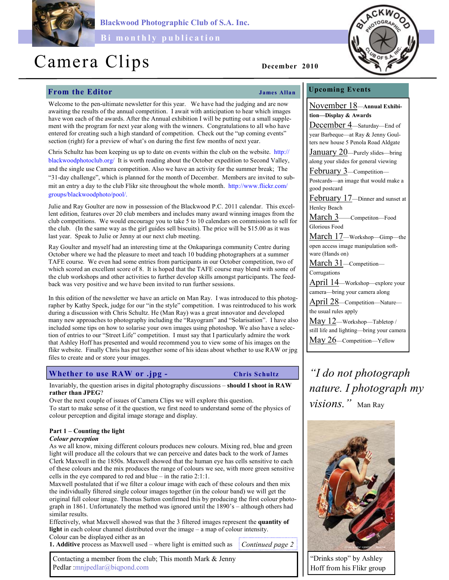

Blackwood Photographic Club of S.A. Inc.

Bi monthly publication

# Camera Clips December 2010

# From the Editor Services of the Services of Tames Allan

## Upcoming Events November 18—Annual Exhibition—Display & Awards December 4—Saturday—End of year Barbeque—at Ray & Jenny Goulters new house 5 Penola Road Aldgate January 20—Purely slides—bring along your slides for general viewing February 3—Competition— Postcards—an image that would make a good postcard February 17—Dinner and sunset at Henley Beach March 3——Competiton—Food Glorious Food March 17—Workshop—Gimp—the open access image manipulation software (Hands on) March 31—Competition— Corrugations April 14—Workshop—explore your camera—bring your camera along April 28—Competition—Nature the usual rules apply May 12—Workshop—Tabletop / still life and lighting—bring your camera May 26—Competition—Yellow

nature. I photograph my visions." Man Ray



"Drinks stop" by Ashley Hoff from his Flikr group

Welcome to the pen-ultimate newsletter for this year. We have had the judging and are now awaiting the results of the annual competition. I await with anticipation to hear which images have won each of the awards. After the Annual exhibition I will be putting out a small supplement with the program for next year along with the winners. Congratulations to all who have entered for creating such a high standard of competition. Check out the "up coming events"

Chris Schultz has been keeping us up to date on events within the club on the website. http:// blackwoodphotoclub.org/ It is worth reading about the October expedition to Second Valley, and the single use Camera competition. Also we have an activity for the summer break; The "31-day challenge", which is planned for the month of December. Members are invited to submit an entry a day to the club Flikr site throughout the whole month. http://www.flickr.com/ groups/blackwoodphoto/pool/.

section (right) for a preview of what's on during the first few months of next year.

Julie and Ray Goulter are now in possession of the Blackwood P.C. 2011 calendar. This excellent edition, features over 20 club members and includes many award winning images from the club competitions. We would encourage you to take 5 to 10 calendars on commission to sell for the club. (In the same way as the girl guides sell biscuits). The price will be \$15.00 as it was last year. Speak to Julie or Jenny at our next club meeting.

Ray Goulter and myself had an interesting time at the Onkaparinga community Centre during October where we had the pleasure to meet and teach 10 budding photographers at a summer TAFE course. We even had some entries from participants in our October competition, two of which scored an excellent score of 8. It is hoped that the TAFE course may blend with some of the club workshops and other activities to further develop skills amongst participants. The feedback was very positive and we have been invited to run further sessions.

In this edition of the newsletter we have an article on Man Ray. I was introduced to this photographer by Kathy Speck, judge for our "in the style" competition. I was reintroduced to his work during a discussion with Chris Schultz. He (Man Ray) was a great innovator and developed many new approaches to photography including the "Rayogram" and "Solarisation". I have also included some tips on how to solarise your own images using photoshop. We also have a selection of entries to our "Street Life" competition. I must say that I particularly admire the work that Ashley Hoff has presented and would recommend you to view some of his images on the flikr website. Finally Chris has put together some of his ideas about whether to use RAW or jpg files to create and or store your images.

# Whether to use RAW or .jpg -  $\Box$  Chris Schultz  $\Box$  "I do not photograph"

Invariably, the question arises in digital photography discussions – should I shoot in RAW rather than JPEG?

Over the next couple of issues of Camera Clips we will explore this question. To start to make sense of it the question, we first need to understand some of the physics of colour perception and digital image storage and display.

### Part 1 – Counting the light

#### Colour perception

As we all know, mixing different colours produces new colours. Mixing red, blue and green light will produce all the colours that we can perceive and dates back to the work of James Clerk Maxwell in the 1850s. Maxwell showed that the human eye has cells sensitive to each of these colours and the mix produces the range of colours we see, with more green sensitive cells in the eye compared to red and blue – in the ratio 2:1:1.

Maxwell postulated that if we filter a colour image with each of these colours and then mix the individually filtered single colour images together (in the colour band) we will get the original full colour image. Thomas Sutton confirmed this by producing the first colour photograph in 1861. Unfortunately the method was ignored until the 1890's – although others had similar results.

Effectively, what Maxwell showed was that the 3 filtered images represent the quantity of light in each colour channel distributed over the image – a map of colour intensity. Colour can be displayed either as an

1. Additive process as Maxwell used – where light is emitted such as Continued page 2

Contacting a member from the club; This month Mark & Jenny Pedlar :mnjpedlar@biqpond.com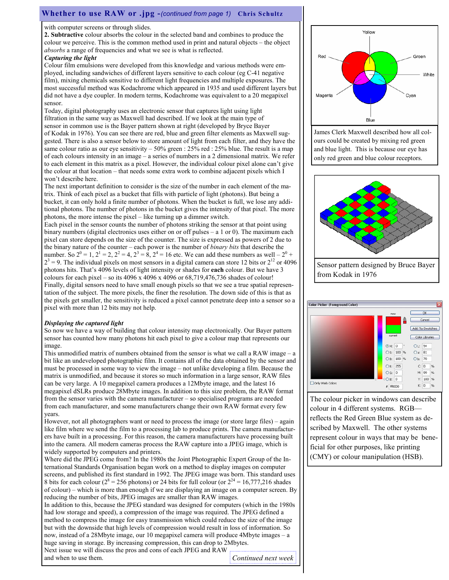### Whether to use RAW or .jpg -(continued from page 1) Chris Schultz

with computer screens or through slides.

2. Subtractive colour absorbs the colour in the selected band and combines to produce the colour we perceive. This is the common method used in print and natural objects – the object absorbs a range of frequencies and what we see is what is reflected.

#### Capturing the light

Colour film emulsions were developed from this knowledge and various methods were employed, including sandwiches of different layers sensitive to each colour (eg C-41 negative film), mixing chemicals sensitive to different light frequencies and multiple exposures. The most successful method was Kodachrome which appeared in 1935 and used different layers but did not have a dye coupler. In modern terms, Kodachrome was equivalent to a 20 megapixel sensor.

Today, digital photography uses an electronic sensor that captures light using light filtration in the same way as Maxwell had described. If we look at the main type of sensor in common use is the Bayer pattern shown at right (developed by Bryce Bayer of Kodak in 1976). You can see there are red, blue and green filter elements as Maxwell suggested. There is also a sensor below to store amount of light from each filter, and they have the same colour ratio as our eye sensitivity  $-50\%$  green : 25% red : 25% blue. The result is a map of each colours intensity in an image – a series of numbers in a 2 dimensional matrix. We refer to each element in this matrix as a pixel. However, the individual colour pixel alone can't give the colour at that location – that needs some extra work to combine adjacent pixels which I won't describe here.

The next important definition to consider is the size of the number in each element of the matrix. Think of each pixel as a bucket that fills with particle of light (photons). But being a bucket, it can only hold a finite number of photons. When the bucket is full, we lose any additional photons. The number of photons in the bucket gives the intensity of that pixel. The more photons, the more intense the pixel – like turning up a dimmer switch.

Each pixel in the sensor counts the number of photons striking the sensor at that point using binary numbers (digital electronics uses either on or off pulses  $-$  a 1 or 0). The maximum each pixel can store depends on the size of the counter. The size is expressed as powers of 2 due to the binary nature of the counter – each power is the number of *binary bits* that describe the number. So  $2^0 = 1$ ,  $2^1 = 2$ ,  $2^2 = 4$ ,  $2^3 = 8$ ,  $2^4 = 16$  etc. We can add these numbers as well  $-2^0$  +  $2<sup>3</sup> = 9$ . The individual pixels on most sensors in a digital camera can store 12 bits or  $2<sup>12</sup>$  or 4096 photons hits. That's 4096 levels of light intensity or shades for each colour. But we have 3 colours for each pixel – so its  $4096 \times 4096 \times 4096$  or  $68,719,476,736$  shades of colour! Finally, digital sensors need to have small enough pixels so that we see a true spatial representation of the subject. The more pixels, the finer the resolution. The down side of this is that as the pixels get smaller, the sensitivity is reduced a pixel cannot penetrate deep into a sensor so a pixel with more than 12 bits may not help.

#### Displaying the captured light

So now we have a way of building that colour intensity map electronically. Our Bayer pattern sensor has counted how many photons hit each pixel to give a colour map that represents our image.

This unmodified matrix of numbers obtained from the sensor is what we call a RAW image – a bit like an undeveloped photographic film. It contains all of the data obtained by the sensor and must be processed in some way to view the image – not unlike developing a film. Because the matrix is unmodified, and because it stores so much information in a large sensor, RAW files can be very large. A 10 megapixel camera produces a 12Mbyte image, and the latest 16 megapixel dSLRs produce 28Mbyte images. In addition to this size problem, the RAW format from the sensor varies with the camera manufacturer – so specialised programs are needed from each manufacturer, and some manufacturers change their own RAW format every few years.

However, not all photographers want or need to process the image (or store large files) – again like film where we send the film to a processing lab to produce prints. The camera manufacturers have built in a processing. For this reason, the camera manufacturers have processing built into the camera. All modern cameras process the RAW capture into a JPEG image, which is widely supported by computers and printers.

Where did the JPEG come from? In the 1980s the Joint Photographic Expert Group of the International Standards Organisation began work on a method to display images on computer screens, and published its first standard in 1992. The JPEG image was born. This standard uses 8 bits for each colour ( $2^8$  = 256 photons) or 24 bits for full colour (or  $2^{24}$  = 16,777,216 shades of colour) – which is more than enough if we are displaying an image on a computer screen. By reducing the number of bits, JPEG images are smaller than RAW images.

In addition to this, because the JPEG standard was designed for computers (which in the 1980s had low storage and speed), a compression of the image was required. The JPEG defined a method to compress the image for easy transmission which could reduce the size of the image but with the downside that high levels of compression would result in loss of information. So now, instead of a 28Mbyte image, our 10 megapixel camera will produce 4Mbyte images – a huge saving in storage. By increasing compression, this can drop to 2Mbytes.

Next issue we will discuss the pros and cons of each JPEG and RAW and when to use them. Continued next week



James Clerk Maxwell described how all colours could be created by mixing red green and blue light. This is because our eye has only red green and blue colour receptors.







The colour picker in windows can describe colour in 4 different systems. RGB reflects the Red Green Blue system as described by Maxwell. The other systems represent colour in ways that may be beneficial for other purposes, like printing (CMY) or colour manipulation (HSB).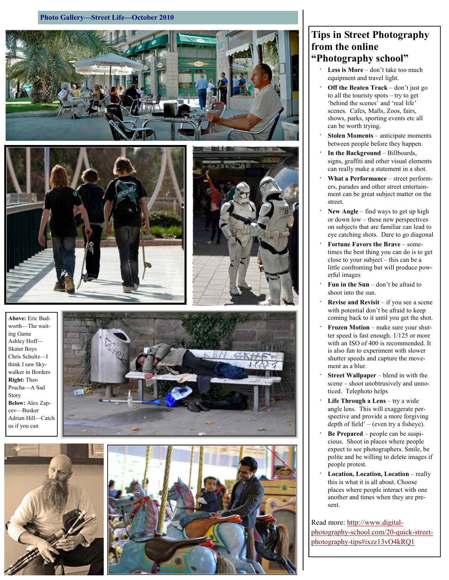#### Photo Gallery—Street Life—October 2010







Above: Eric Budworth—The waiting Game Ashley Hoff— Skater Boys Chris Schultz—I think I saw Skywalker in Borders Right: Theo Prucha—A Sad Story Below: Alex Zapcev—Busker Adrian Hill—Catch us if you can







# Tips in Street Photography from the online "Photography school"

- Less is More don't take too much equipment and travel light.
- Off the Beaten  $Track don't$  just go to all the touristy spots – try to get 'behind the scenes' and 'real life' scenes. Cafes, Malls, Zoos, fairs, shows, parks, sporting events etc all can be worth trying.
- Stolen Moments anticipate moments between people before they happen.
- In the Background Billboards, signs, graffiti and other visual elements can really make a statement in a shot.
- What a Performance street performers, parades and other street entertainment can be great subject matter on the street.
- New Angle find ways to get up high or down low – these new perspectives on subjects that are familiar can lead to eye catching shots. Dare to go diagonal
- Fortune Favors the Brave sometimes the best thing you can do is to get close to your subject – this can be a little confronting but will produce powerful images
- Fun in the Sun don't be afraid to shoot into the sun.
- **Revise and Revisit** if you see a scene with potential don't be afraid to keep coming back to it until you get the shot.
- Frozen Motion make sure your shutter speed is fast enough. 1/125 or more with an ISO of 400 is recommended. It is also fun to experiment with slower shutter speeds and capture the movement as a blur.
- **Street Wallpaper** blend in with the scene – shoot unobtrusively and unnoticed. Telephoto helps
- Life Through a Lens try a wide angle lens. This will exaggerate perspective and provide a more forgiving depth of field' – (even try a fisheye).
- Be Prepared people can be suspicious. Shoot in places where people expect to see photographers. Smile, be polite and be willing to delete images if people protest.
- Location, Location, Location really this is what it is all about. Choose places where people interact with one another and times when they are present.

Read more: http://www.digitalphotography-school.com/20-quick-streetphotography-tips#ixzz13vO4kRQ1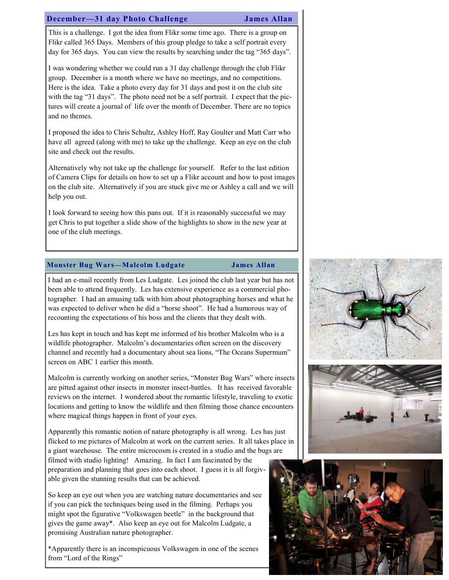### December—31 day Photo Challenge James Allan

This is a challenge. I got the idea from Flikr some time ago. There is a group on Flikr called 365 Days. Members of this group pledge to take a self portrait every day for 365 days. You can view the results by searching under the tag "365 days".

I was wondering whether we could run a 31 day challenge through the club Flikr group. December is a month where we have no meetings, and no competitions. Here is the idea. Take a photo every day for 31 days and post it on the club site with the tag "31 days". The photo need not be a self portrait. I expect that the pictures will create a journal of life over the month of December. There are no topics and no themes.

I proposed the idea to Chris Schultz, Ashley Hoff, Ray Goulter and Matt Carr who have all agreed (along with me) to take up the challenge. Keep an eye on the club site and check out the results.

Alternatively why not take up the challenge for yourself. Refer to the last edition of Camera Clips for details on how to set up a Flikr account and how to post images on the club site. Alternatively if you are stuck give me or Ashley a call and we will help you out.

I look forward to seeing how this pans out. If it is reasonably successful we may get Chris to put together a slide show of the highlights to show in the new year at one of the club meetings.

### Monster Bug Wars—Malcolm Ludgate James Allan

I had an e-mail recently from Les Ludgate. Les joined the club last year but has not been able to attend frequently. Les has extensive experience as a commercial photographer. I had an amusing talk with him about photographing horses and what he was expected to deliver when he did a "horse shoot". He had a humorous way of recounting the expectations of his boss and the clients that they dealt with.

Les has kept in touch and has kept me informed of his brother Malcolm who is a wildlife photographer. Malcolm's documentaries often screen on the discovery channel and recently had a documentary about sea lions, "The Oceans Supermum" screen on ABC 1 earlier this month.

Malcolm is currently working on another series, "Monster Bug Wars" where insects are pitted against other insects in monster insect-battles. It has received favorable reviews on the internet. I wondered about the romantic lifestyle, traveling to exotic locations and getting to know the wildlife and then filming those chance encounters where magical things happen in front of your eyes.

Apparently this romantic notion of nature photography is all wrong. Les has just flicked to me pictures of Malcolm at work on the current series. It all takes place in a giant warehouse. The entire microcosm is created in a studio and the bugs are filmed with studio lighting! Amazing. In fact I am fascinated by the preparation and planning that goes into each shoot. I guess it is all forgivable given the stunning results that can be achieved.

So keep an eye out when you are watching nature documentaries and see if you can pick the techniques being used in the filming. Perhaps you might spot the figurative "Volkswagen beetle" in the background that gives the game away\*. Also keep an eye out for Malcolm Ludgate, a promising Australian nature photographer.

\*Apparently there is an inconspicuous Volkswagen in one of the scenes from "Lord of the Rings"





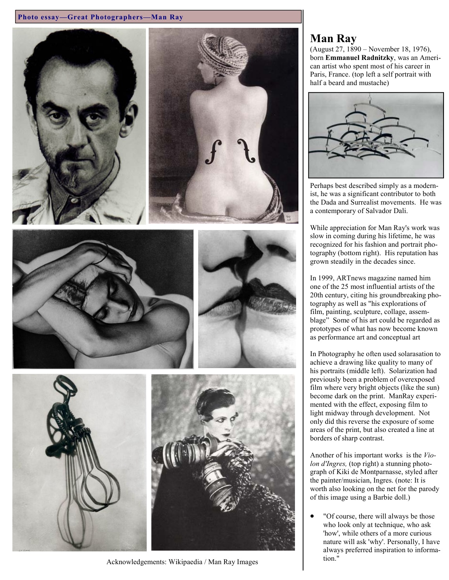### Photo essay—Great Photographers—Man Ray



Acknowledgements: Wikipaedia / Man Ray Images tion."

# Man Ray

(August 27, 1890 – November 18, 1976), born Emmanuel Radnitzky, was an American artist who spent most of his career in Paris, France. (top left a self portrait with half a beard and mustache)



Perhaps best described simply as a modernist, he was a significant contributor to both the Dada and Surrealist movements. He was a contemporary of Salvador Dali.

While appreciation for Man Ray's work was slow in coming during his lifetime, he was recognized for his fashion and portrait photography (bottom right). His reputation has grown steadily in the decades since.

In 1999, ARTnews magazine named him one of the 25 most influential artists of the 20th century, citing his groundbreaking photography as well as "his explorations of film, painting, sculpture, collage, assemblage" Some of his art could be regarded as prototypes of what has now become known as performance art and conceptual art

In Photography he often used solarasation to achieve a drawing like quality to many of his portraits (middle left). Solarization had previously been a problem of overexposed film where very bright objects (like the sun) become dark on the print. ManRay experimented with the effect, exposing film to light midway through development. Not only did this reverse the exposure of some areas of the print, but also created a line at borders of sharp contrast.

Another of his important works is the Violon d'Ingres, (top right) a stunning photograph of Kiki de Montparnasse, styled after the painter/musician, Ingres. (note: It is worth also looking on the net for the parody of this image using a Barbie doll.)

"Of course, there will always be those who look only at technique, who ask 'how', while others of a more curious nature will ask 'why'. Personally, I have always preferred inspiration to informa-